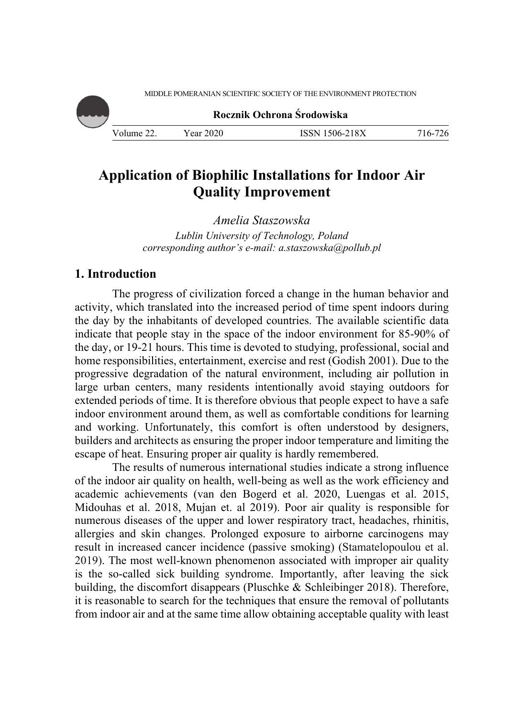MIDDLE POMERANIAN SCIENTIFIC SOCIETY OF THE ENVIRONMENT PROTECTION



**Rocznik Ochrona Środowiska**

Volume 22. Year 2020 ISSN 1506-218X 716-726

# **Application of Biophilic Installations for Indoor Air Quality Improvement**

*Amelia Staszowska Lublin University of Technology, Poland corresponding author's e-mail: a.staszowska@pollub.pl*

# **1. Introduction**

The progress of civilization forced a change in the human behavior and activity, which translated into the increased period of time spent indoors during the day by the inhabitants of developed countries. The available scientific data indicate that people stay in the space of the indoor environment for 85-90% of the day, or 19-21 hours. This time is devoted to studying, professional, social and home responsibilities, entertainment, exercise and rest (Godish 2001). Due to the progressive degradation of the natural environment, including air pollution in large urban centers, many residents intentionally avoid staying outdoors for extended periods of time. It is therefore obvious that people expect to have a safe indoor environment around them, as well as comfortable conditions for learning and working. Unfortunately, this comfort is often understood by designers, builders and architects as ensuring the proper indoor temperature and limiting the escape of heat. Ensuring proper air quality is hardly remembered.

The results of numerous international studies indicate a strong influence of the indoor air quality on health, well-being as well as the work efficiency and academic achievements (van den Bogerd et al. 2020, Luengas et al. 2015, Midouhas et al. 2018, Mujan et. al 2019). Poor air quality is responsible for numerous diseases of the upper and lower respiratory tract, headaches, rhinitis, allergies and skin changes. Prolonged exposure to airborne carcinogens may result in increased cancer incidence (passive smoking) (Stamatelopoulou et al. 2019). The most well-known phenomenon associated with improper air quality is the so-called sick building syndrome. Importantly, after leaving the sick building, the discomfort disappears (Pluschke & Schleibinger 2018). Therefore, it is reasonable to search for the techniques that ensure the removal of pollutants from indoor air and at the same time allow obtaining acceptable quality with least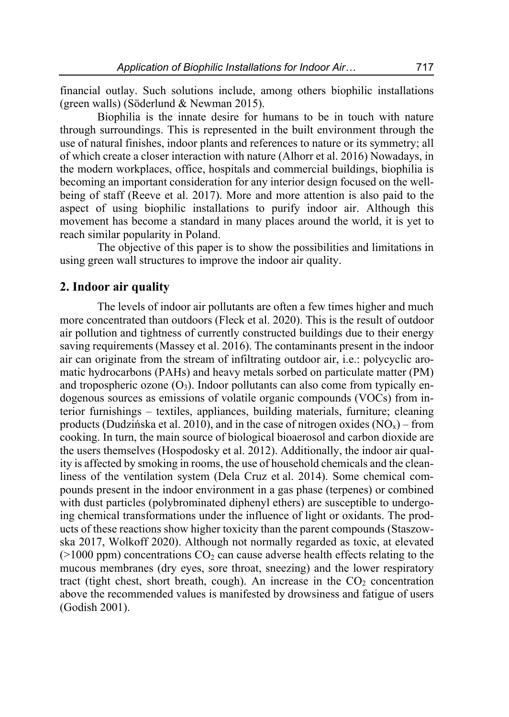financial outlay. Such solutions include, among others biophilic installations (green walls) (Söderlund & Newman 2015).

Biophilia is the innate desire for humans to be in touch with nature through surroundings. This is represented in the built environment through the use of natural finishes, indoor plants and references to nature or its symmetry; all of which create a closer interaction with nature (Alhorr et al. 2016) Nowadays, in the modern workplaces, office, hospitals and commercial buildings, biophilia is becoming an important consideration for any interior design focused on the wellbeing of staff (Reeve et al. 2017). More and more attention is also paid to the aspect of using biophilic installations to purify indoor air. Although this movement has become a standard in many places around the world, it is yet to reach similar popularity in Poland.

The objective of this paper is to show the possibilities and limitations in using green wall structures to improve the indoor air quality.

#### **2. Indoor air quality**

The levels of indoor air pollutants are often a few times higher and much more concentrated than outdoors (Fleck et al. 2020). This is the result of outdoor air pollution and tightness of currently constructed buildings due to their energy saving requirements (Massey et al. 2016). The contaminants present in the indoor air can originate from the stream of infiltrating outdoor air, i.e.: polycyclic aromatic hydrocarbons (PAHs) and heavy metals sorbed on particulate matter (PM) and tropospheric ozone  $(O_3)$ . Indoor pollutants can also come from typically endogenous sources as emissions of volatile organic compounds (VOCs) from interior furnishings – textiles, appliances, building materials, furniture; cleaning products (Dudzińska et al. 2010), and in the case of nitrogen oxides  $(NO<sub>x</sub>)$  – from cooking. In turn, the main source of biological bioaerosol and carbon dioxide are the users themselves (Hospodosky et al. 2012). Additionally, the indoor air quality is affected by smoking in rooms, the use of household chemicals and the cleanliness of the ventilation system (Dela Cruz et al. 2014). Some chemical compounds present in the indoor environment in a gas phase (terpenes) or combined with dust particles (polybrominated diphenyl ethers) are susceptible to undergoing chemical transformations under the influence of light or oxidants. The products of these reactions show higher toxicity than the parent compounds (Staszowska 2017, Wolkoff 2020). Although not normally regarded as toxic, at elevated  $(>1000$  ppm) concentrations  $CO<sub>2</sub>$  can cause adverse health effects relating to the mucous membranes (dry eyes, sore throat, sneezing) and the lower respiratory tract (tight chest, short breath, cough). An increase in the  $CO<sub>2</sub>$  concentration above the recommended values is manifested by drowsiness and fatigue of users (Godish 2001).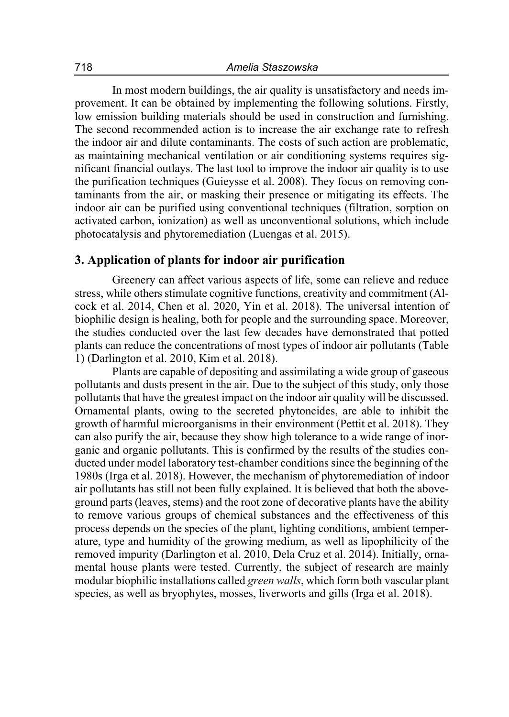In most modern buildings, the air quality is unsatisfactory and needs improvement. It can be obtained by implementing the following solutions. Firstly, low emission building materials should be used in construction and furnishing. The second recommended action is to increase the air exchange rate to refresh the indoor air and dilute contaminants. The costs of such action are problematic, as maintaining mechanical ventilation or air conditioning systems requires significant financial outlays. The last tool to improve the indoor air quality is to use the purification techniques (Guieysse et al. 2008). They focus on removing contaminants from the air, or masking their presence or mitigating its effects. The indoor air can be purified using conventional techniques (filtration, sorption on activated carbon, ionization) as well as unconventional solutions, which include photocatalysis and phytoremediation (Luengas et al. 2015).

## **3. Application of plants for indoor air purification**

Greenery can affect various aspects of life, some can relieve and reduce stress, while others stimulate cognitive functions, creativity and commitment (Alcock et al. 2014, Chen et al. 2020, Yin et al. 2018). The universal intention of biophilic design is healing, both for people and the surrounding space. Moreover, the studies conducted over the last few decades have demonstrated that potted plants can reduce the concentrations of most types of indoor air pollutants (Table 1) (Darlington et al. 2010, Kim et al. 2018).

Plants are capable of depositing and assimilating a wide group of gaseous pollutants and dusts present in the air. Due to the subject of this study, only those pollutants that have the greatest impact on the indoor air quality will be discussed. Ornamental plants, owing to the secreted phytoncides, are able to inhibit the growth of harmful microorganisms in their environment (Pettit et al. 2018). They can also purify the air, because they show high tolerance to a wide range of inorganic and organic pollutants. This is confirmed by the results of the studies conducted under model laboratory test-chamber conditions since the beginning of the 1980s (Irga et al. 2018). However, the mechanism of phytoremediation of indoor air pollutants has still not been fully explained. It is believed that both the aboveground parts (leaves, stems) and the root zone of decorative plants have the ability to remove various groups of chemical substances and the effectiveness of this process depends on the species of the plant, lighting conditions, ambient temperature, type and humidity of the growing medium, as well as lipophilicity of the removed impurity (Darlington et al. 2010, Dela Cruz et al. 2014). Initially, ornamental house plants were tested. Currently, the subject of research are mainly modular biophilic installations called *green walls*, which form both vascular plant species, as well as bryophytes, mosses, liverworts and gills (Irga et al. 2018).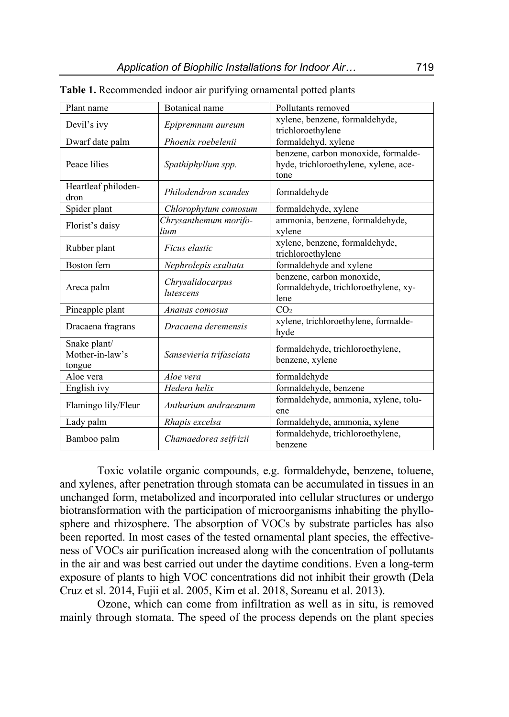| Plant name                                | Botanical name                | Pollutants removed                                                                   |
|-------------------------------------------|-------------------------------|--------------------------------------------------------------------------------------|
| Devil's ivy                               | Epipremnum aureum             | xylene, benzene, formaldehyde,                                                       |
|                                           |                               | trichloroethylene                                                                    |
| Dwarf date palm                           | Phoenix roebelenii            | formaldehyd, xylene                                                                  |
| Peace lilies                              | Spathiphyllum spp.            | benzene, carbon monoxide, formalde-<br>hyde, trichloroethylene, xylene, ace-<br>tone |
| Heartleaf philoden-<br>dron               | Philodendron scandes          | formaldehyde                                                                         |
| Spider plant                              | Chlorophytum comosum          | formaldehyde, xylene                                                                 |
| Florist's daisy                           | Chrysanthemum morifo-<br>lium | ammonia, benzene, formaldehyde,<br>xylene                                            |
| Rubber plant                              | Ficus elastic                 | xylene, benzene, formaldehyde,<br>trichloroethylene                                  |
| Boston fern                               | Nephrolepis exaltata          | formaldehyde and xylene                                                              |
| Areca palm                                | Chrysalidocarpus<br>lutescens | benzene, carbon monoxide,<br>formaldehyde, trichloroethylene, xy-<br>lene            |
| Pineapple plant                           | Ananas comosus                | CO <sub>2</sub>                                                                      |
| Dracaena fragrans                         | Dracaena deremensis           | xylene, trichloroethylene, formalde-<br>hyde                                         |
| Snake plant/<br>Mother-in-law's<br>tongue | Sansevieria trifasciata       | formaldehyde, trichloroethylene,<br>benzene, xylene                                  |
| Aloe vera                                 | Aloe vera                     | formaldehyde                                                                         |
| English ivy                               | Hedera helix                  | formaldehyde, benzene                                                                |
| Flamingo lily/Fleur                       | Anthurium andraeanum          | formaldehyde, ammonia, xylene, tolu-<br>ene                                          |
| Lady palm                                 | Rhapis excelsa                | formaldehyde, ammonia, xylene                                                        |
| Bamboo palm                               | Chamaedorea seifrizii         | formaldehyde, trichloroethylene,<br>benzene                                          |

**Table 1.** Recommended indoor air purifying ornamental potted plants

Toxic volatile organic compounds, e.g. formaldehyde, benzene, toluene, and xylenes, after penetration through stomata can be accumulated in tissues in an unchanged form, metabolized and incorporated into cellular structures or undergo biotransformation with the participation of microorganisms inhabiting the phyllosphere and rhizosphere. The absorption of VOCs by substrate particles has also been reported. In most cases of the tested ornamental plant species, the effectiveness of VOCs air purification increased along with the concentration of pollutants in the air and was best carried out under the daytime conditions. Even a long-term exposure of plants to high VOC concentrations did not inhibit their growth (Dela Cruz et sl. 2014, Fujii et al. 2005, Kim et al. 2018, Soreanu et al. 2013).

Ozone, which can come from infiltration as well as in situ, is removed mainly through stomata. The speed of the process depends on the plant species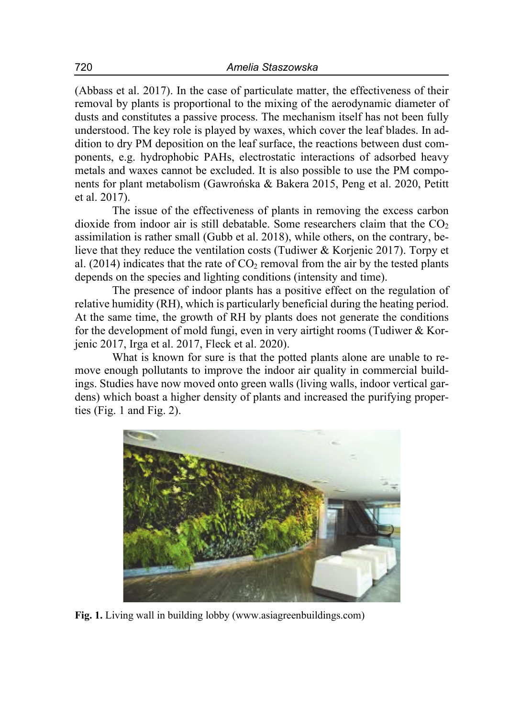(Abbass et al. 2017). In the case of particulate matter, the effectiveness of their removal by plants is proportional to the mixing of the aerodynamic diameter of dusts and constitutes a passive process. The mechanism itself has not been fully understood. The key role is played by waxes, which cover the leaf blades. In addition to dry PM deposition on the leaf surface, the reactions between dust components, e.g. hydrophobic PAHs, electrostatic interactions of adsorbed heavy metals and waxes cannot be excluded. It is also possible to use the PM components for plant metabolism (Gawrońska & Bakera 2015, Peng et al. 2020, Petitt et al. 2017).

The issue of the effectiveness of plants in removing the excess carbon dioxide from indoor air is still debatable. Some researchers claim that the  $CO<sub>2</sub>$ assimilation is rather small (Gubb et al. 2018), while others, on the contrary, believe that they reduce the ventilation costs (Tudiwer & Korjenic 2017). Torpy et al. (2014) indicates that the rate of  $CO<sub>2</sub>$  removal from the air by the tested plants depends on the species and lighting conditions (intensity and time).

The presence of indoor plants has a positive effect on the regulation of relative humidity (RH), which is particularly beneficial during the heating period. At the same time, the growth of RH by plants does not generate the conditions for the development of mold fungi, even in very airtight rooms (Tudiwer & Korjenic 2017, Irga et al. 2017, Fleck et al. 2020).

What is known for sure is that the potted plants alone are unable to remove enough pollutants to improve the indoor air quality in commercial buildings. Studies have now moved onto green walls (living walls, indoor vertical gardens) which boast a higher density of plants and increased the purifying properties (Fig. 1 and Fig. 2).



**Fig. 1.** Living wall in building lobby (www.asiagreenbuildings.com)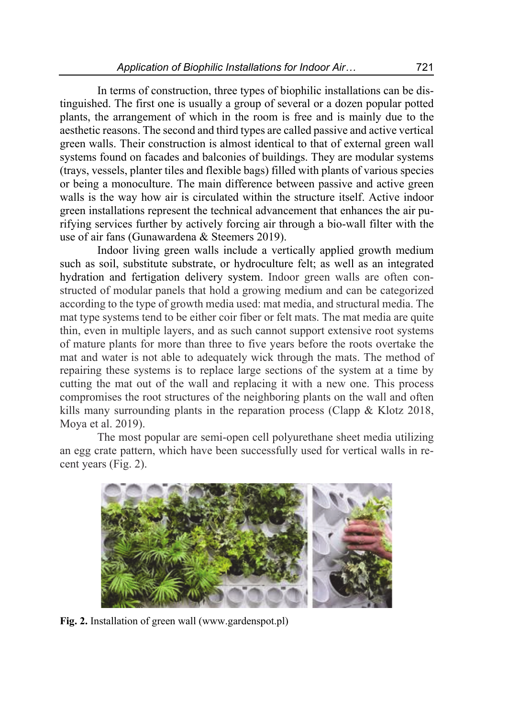In terms of construction, three types of biophilic installations can be distinguished. The first one is usually a group of several or a dozen popular potted plants, the arrangement of which in the room is free and is mainly due to the aesthetic reasons. The second and third types are called passive and active vertical green walls. Their construction is almost identical to that of external green wall systems found on facades and balconies of buildings. They are modular systems (trays, vessels, planter tiles and flexible bags) filled with plants of various species or being a monoculture. The main difference between passive and active green walls is the way how air is circulated within the structure itself. Active indoor green installations represent the technical advancement that enhances the air purifying services further by actively forcing air through a bio-wall filter with the use of air fans (Gunawardena & Steemers 2019).

Indoor living green walls include a vertically applied growth medium such as soil, substitute substrate, or hydroculture felt; as well as an integrated hydration and fertigation delivery system. Indoor green walls are often constructed of modular panels that hold a growing medium and can be categorized according to the type of growth media used: mat media, and structural media. The mat type systems tend to be either coir fiber or felt mats. The mat media are quite thin, even in multiple layers, and as such cannot support extensive root systems of mature plants for more than three to five years before the roots overtake the mat and water is not able to adequately wick through the mats. The method of repairing these systems is to replace large sections of the system at a time by cutting the mat out of the wall and replacing it with a new one. This process compromises the root structures of the neighboring plants on the wall and often kills many surrounding plants in the reparation process (Clapp & Klotz 2018, Moya et al. 2019).

The most popular are semi-open cell polyurethane sheet media utilizing an egg crate pattern, which have been successfully used for vertical walls in recent years (Fig. 2).



**Fig. 2.** Installation of green wall (www.gardenspot.pl)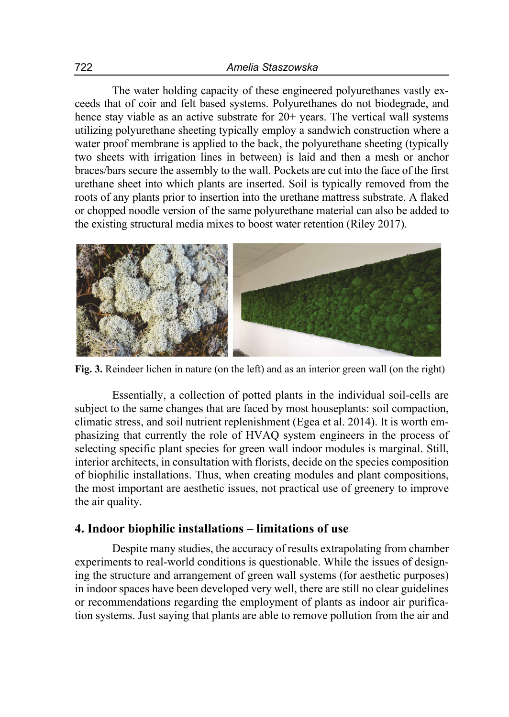The water holding capacity of these engineered polyurethanes vastly exceeds that of coir and felt based systems. Polyurethanes do not biodegrade, and hence stay viable as an active substrate for 20+ years. The vertical wall systems utilizing polyurethane sheeting typically employ a sandwich construction where a water proof membrane is applied to the back, the polyurethane sheeting (typically two sheets with irrigation lines in between) is laid and then a mesh or anchor braces/bars secure the assembly to the wall. Pockets are cut into the face of the first urethane sheet into which plants are inserted. Soil is typically removed from the roots of any plants prior to insertion into the urethane mattress substrate. A flaked or chopped noodle version of the same polyurethane material can also be added to the existing structural media mixes to boost water retention (Riley 2017).



**Fig. 3.** Reindeer lichen in nature (on the left) and as an interior green wall (on the right)

Essentially, a collection of potted plants in the individual soil-cells are subject to the same changes that are faced by most houseplants: soil compaction, climatic stress, and soil nutrient replenishment (Egea et al. 2014). It is worth emphasizing that currently the role of HVAQ system engineers in the process of selecting specific plant species for green wall indoor modules is marginal. Still, interior architects, in consultation with florists, decide on the species composition of biophilic installations. Thus, when creating modules and plant compositions, the most important are aesthetic issues, not practical use of greenery to improve the air quality.

### **4. Indoor biophilic installations – limitations of use**

Despite many studies, the accuracy of results extrapolating from chamber experiments to real-world conditions is questionable. While the issues of designing the structure and arrangement of green wall systems (for aesthetic purposes) in indoor spaces have been developed very well, there are still no clear guidelines or recommendations regarding the employment of plants as indoor air purification systems. Just saying that plants are able to remove pollution from the air and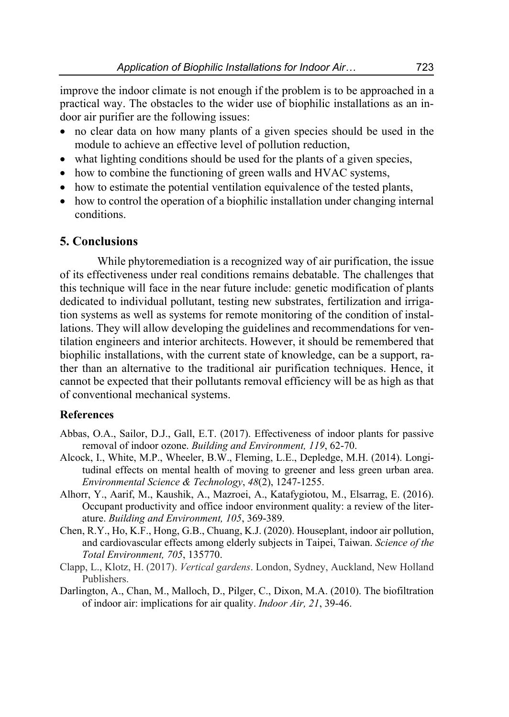improve the indoor climate is not enough if the problem is to be approached in a practical way. The obstacles to the wider use of biophilic installations as an indoor air purifier are the following issues:

- no clear data on how many plants of a given species should be used in the module to achieve an effective level of pollution reduction,
- what lighting conditions should be used for the plants of a given species,
- how to combine the functioning of green walls and HVAC systems,
- how to estimate the potential ventilation equivalence of the tested plants,
- how to control the operation of a biophilic installation under changing internal conditions.

## **5. Conclusions**

While phytoremediation is a recognized way of air purification, the issue of its effectiveness under real conditions remains debatable. The challenges that this technique will face in the near future include: genetic modification of plants dedicated to individual pollutant, testing new substrates, fertilization and irrigation systems as well as systems for remote monitoring of the condition of installations. They will allow developing the guidelines and recommendations for ventilation engineers and interior architects. However, it should be remembered that biophilic installations, with the current state of knowledge, can be a support, rather than an alternative to the traditional air purification techniques. Hence, it cannot be expected that their pollutants removal efficiency will be as high as that of conventional mechanical systems.

#### **References**

- Abbas, O.A., Sailor, D.J., Gall, E.T. (2017). Effectiveness of indoor plants for passive removal of indoor ozone. *Building and Environment, 119*, 62-70.
- Alcock, I., White, M.P., Wheeler, B.W., Fleming, L.E., Depledge, M.H. (2014). Longitudinal effects on mental health of moving to greener and less green urban area. *Environmental Science & Technology*, *48*(2), 1247-1255.
- Alhorr, Y., Aarif, M., Kaushik, A., Mazroei, A., Katafygiotou, M., Elsarrag, E. (2016). Occupant productivity and office indoor environment quality: a review of the literature. *Building and Environment, 105*, 369-389.
- Chen, R.Y., Ho, K.F., Hong, G.B., Chuang, K.J. (2020). Houseplant, indoor air pollution, and cardiovascular effects among elderly subjects in Taipei, Taiwan. *Science of the Total Environment, 705*, 135770.
- Clapp, L., Klotz, H. (2017). *Vertical gardens*. London, Sydney, Auckland, New Holland Publishers.
- Darlington, A., Chan, M., Malloch, D., Pilger, C., Dixon, M.A. (2010). The biofiltration of indoor air: implications for air quality. *Indoor Air, 21*, 39-46.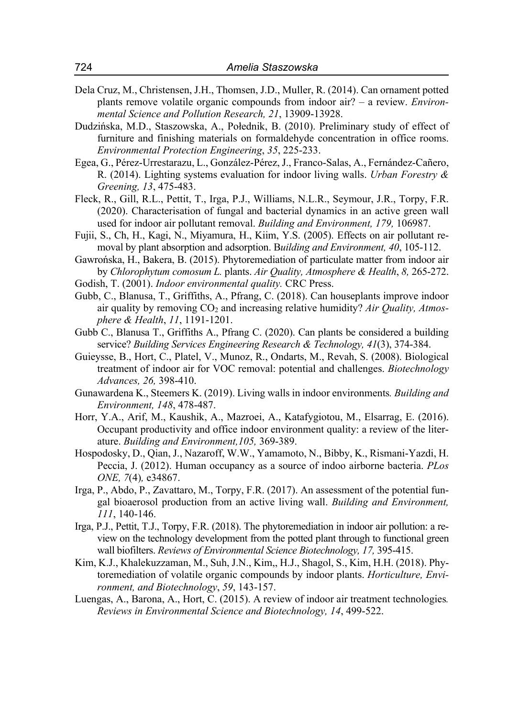- Dela Cruz, M., Christensen, J.H., Thomsen, J.D., Muller, R. (2014). Can ornament potted plants remove volatile organic compounds from indoor air? – a review. *Environmental Science and Pollution Research, 21*, 13909-13928.
- Dudzińska, M.D., Staszowska, A., Połednik, B. (2010). Preliminary study of effect of furniture and finishing materials on formaldehyde concentration in office rooms. *Environmental Protection Engineering*, *35*, 225-233.
- Egea, G., Pérez-Urrestarazu, L., González-Pérez, J., Franco-Salas, A., Fernández-Cañero, R. (2014). Lighting systems evaluation for indoor living walls. *Urban Forestry & Greening, 13*, 475-483.
- Fleck, R., Gill, R.L., Pettit, T., Irga, P.J., Williams, N.L.R., Seymour, J.R., Torpy, F.R. (2020). Characterisation of fungal and bacterial dynamics in an active green wall used for indoor air pollutant removal. *Building and Environment, 179,* 106987.
- Fujii, S., Ch, H., Kagi, N., Miyamura, H., Kiim, Y.S. (2005). Effects on air pollutant removal by plant absorption and adsorption. B*uilding and Environment, 40*, 105-112.
- Gawrońska, H., Bakera, B. (2015). Phytoremediation of particulate matter from indoor air by *Chlorophytum comosum L.* plants. *Air Quality, Atmosphere & Health*, *8,* 265-272. Godish, T. (2001). *Indoor environmental quality.* CRC Press.
- Gubb, C., Blanusa, T., Griffiths, A., Pfrang, C. (2018). Can houseplants improve indoor air quality by removing CO<sub>2</sub> and increasing relative humidity? Air Quality, Atmos*phere & Health*, *11*, 1191-1201.
- Gubb C., Blanusa T., Griffiths A., Pfrang C. (2020). Can plants be considered a building service? *Building Services Engineering Research & Technology, 41*(3), 374-384.
- Guieysse, B., Hort, C., Platel, V., Munoz, R., Ondarts, M., Revah, S. (2008). Biological treatment of indoor air for VOC removal: potential and challenges. *Biotechnology Advances, 26,* 398-410.
- Gunawardena K., Steemers K. (2019). Living walls in indoor environments*. Building and Environment, 148*, 478-487.
- Horr, Y.A., Arif, M., Kaushik, A., Mazroei, A., Katafygiotou, M., Elsarrag, E. (2016). Occupant productivity and office indoor environment quality: a review of the literature. *Building and Environment,105,* 369-389.
- Hospodosky, D., Qian, J., Nazaroff, W.W., Yamamoto, N., Bibby, K., Rismani-Yazdi, H. Peccia, J. (2012). Human occupancy as a source of indoo airborne bacteria. *PLos ONE, 7*(4)*,* e34867.
- Irga, P., Abdo, P., Zavattaro, M., Torpy, F.R. (2017). An assessment of the potential fungal bioaerosol production from an active living wall. *Building and Environment, 111*, 140-146.
- Irga, P.J., Pettit, T.J., Torpy, F.R. (2018). The phytoremediation in indoor air pollution: a review on the technology development from the potted plant through to functional green wall biofilters. *Reviews of Environmental Science Biotechnology, 17,* 395-415.
- Kim, K.J., Khalekuzzaman, M., Suh, J.N., Kim,, H.J., Shagol, S., Kim, H.H. (2018). Phytoremediation of volatile organic compounds by indoor plants. *Horticulture, Environment, and Biotechnology*, *59*, 143-157.
- Luengas, A., Barona, A., Hort, C. (2015). A review of indoor air treatment technologies*. Reviews in Environmental Science and Biotechnology, 14*, 499-522.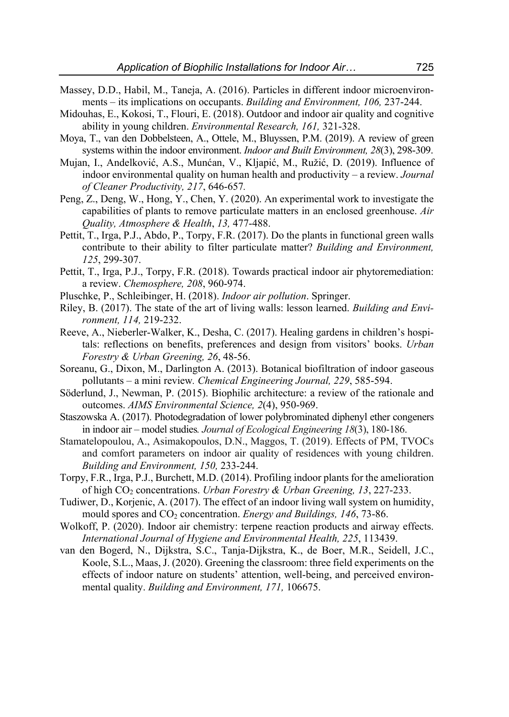- Massey, D.D., Habil, M., Taneja, A. (2016). Particles in different indoor microenvironments – its implications on occupants. *Building and Environment, 106,* 237-244.
- Midouhas, E., Kokosi, T., Flouri, E. (2018). Outdoor and indoor air quality and cognitive ability in young children. *Environmental Research, 161,* 321-328.
- Moya, T., van den Dobbelsteen, A., Ottele, M., Bluyssen, P.M. (2019). A review of green systems within the indoor environment. *Indoor and Built Environment, 28*(3), 298-309.
- Mujan, I., Andelković, A.S., Munćan, V., Kljapić, M., Ružić, D. (2019). Influence of indoor environmental quality on human health and productivity – a review. *Journal of Cleaner Productivity, 217*, 646-657*.*
- Peng, Z., Deng, W., Hong, Y., Chen, Y. (2020). An experimental work to investigate the capabilities of plants to remove particulate matters in an enclosed greenhouse. *Air Quality, Atmosphere & Health*, *13,* 477-488.
- Pettit, T., Irga, P.J., Abdo, P., Torpy, F.R. (2017). Do the plants in functional green walls contribute to their ability to filter particulate matter? *Building and Environment, 125*, 299-307.
- Pettit, T., Irga, P.J., Torpy, F.R. (2018). Towards practical indoor air phytoremediation: a review. *Chemosphere, 208*, 960-974.
- Pluschke, P., Schleibinger, H. (2018). *Indoor air pollution*. Springer.
- Riley, B. (2017). The state of the art of living walls: lesson learned. *Building and Environment, 114,* 219-232.
- Reeve, A., Nieberler-Walker, K., Desha, C. (2017). Healing gardens in children's hospitals: reflections on benefits, preferences and design from visitors' books. *Urban Forestry & Urban Greening, 26*, 48-56.
- Soreanu, G., Dixon, M., Darlington A. (2013). Botanical biofiltration of indoor gaseous pollutants – a mini review*. Chemical Engineering Journal, 229*, 585-594.
- Söderlund, J., Newman, P. (2015). Biophilic architecture: a review of the rationale and outcomes. *AIMS Environmental Science, 2*(4), 950-969.
- Staszowska A. (2017). Photodegradation of lower polybrominated diphenyl ether congeners in indoor air – model studies*. Journal of Ecological Engineering 18*(3), 180-186.
- Stamatelopoulou, A., Asimakopoulos, D.N., Maggos, T. (2019). Effects of PM, TVOCs and comfort parameters on indoor air quality of residences with young children. *Building and Environment, 150,* 233-244.
- Torpy, F.R., Irga, P.J., Burchett, M.D. (2014). Profiling indoor plants for the amelioration of high CO2 concentrations. *Urban Forestry & Urban Greening, 13*, 227-233.
- Tudiwer, D., Korjenic, A. (2017). The effect of an indoor living wall system on humidity, mould spores and CO2 concentration. *Energy and Buildings, 146*, 73-86.
- Wolkoff, P. (2020). Indoor air chemistry: terpene reaction products and airway effects. *International Journal of Hygiene and Environmental Health, 225*, 113439.
- van den Bogerd, N., Dijkstra, S.C., Tanja-Dijkstra, K., de Boer, M.R., Seidell, J.C., Koole, S.L., Maas, J. (2020). Greening the classroom: three field experiments on the effects of indoor nature on students' attention, well-being, and perceived environmental quality. *Building and Environment, 171,* 106675.